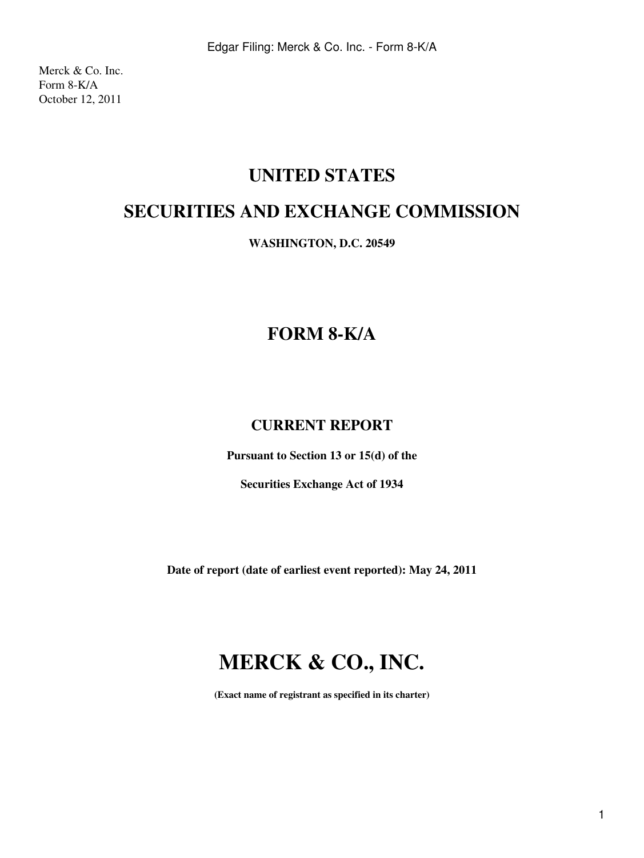Merck & Co. Inc. Form 8-K/A October 12, 2011

## **UNITED STATES**

## **SECURITIES AND EXCHANGE COMMISSION**

**WASHINGTON, D.C. 20549**

## **FORM 8-K/A**

### **CURRENT REPORT**

**Pursuant to Section 13 or 15(d) of the**

**Securities Exchange Act of 1934**

**Date of report (date of earliest event reported): May 24, 2011**

# **MERCK & CO., INC.**

**(Exact name of registrant as specified in its charter)**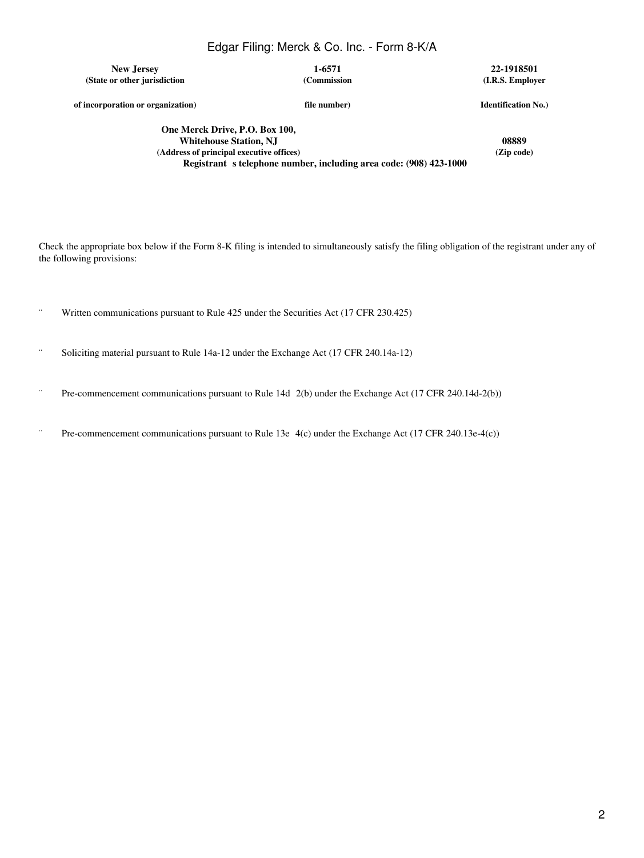### Edgar Filing: Merck & Co. Inc. - Form 8-K/A

**New Jersey 1-6571 22-1918501 (State or other jurisdiction**

**(Commission**

**(I.R.S. Employer**

**of incorporation or organization)**

**file number)**

**Identification No.)**

**One Merck Drive, P.O. Box 100, Whitehouse Station, NJ 08889 (Address of principal executive offices) (Zip code) Registrant** s telephone number, including area code: (908) 423-1000

Check the appropriate box below if the Form 8-K filing is intended to simultaneously satisfy the filing obligation of the registrant under any of the following provisions:

- ¨ Written communications pursuant to Rule 425 under the Securities Act (17 CFR 230.425)
- ¨ Soliciting material pursuant to Rule 14a-12 under the Exchange Act (17 CFR 240.14a-12)
- ¨ Pre-commencement communications pursuant to Rule 14d2(b) under the Exchange Act (17 CFR 240.14d-2(b))
- ¨ Pre-commencement communications pursuant to Rule 13e4(c) under the Exchange Act (17 CFR 240.13e-4(c))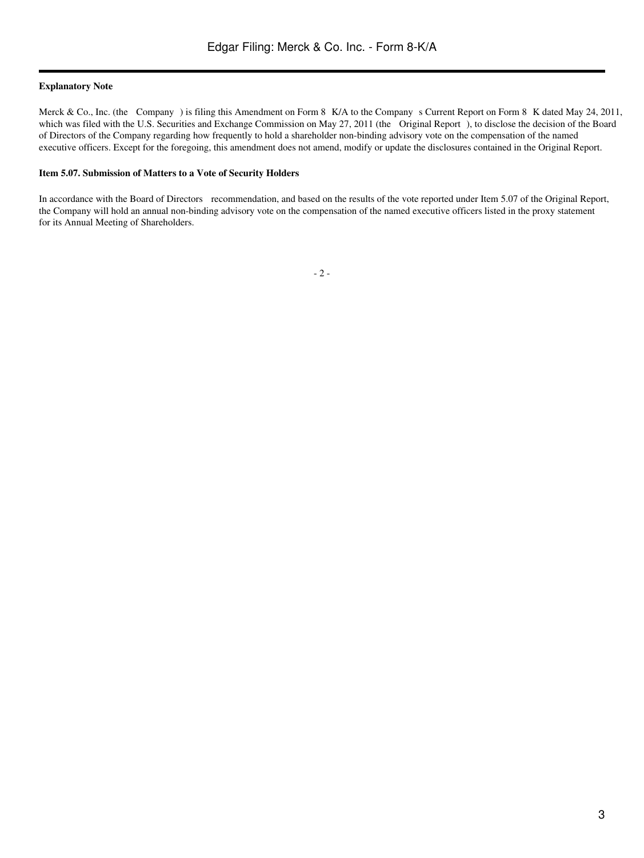### **Explanatory Note**

Merck & Co., Inc. (the Company) is filing this Amendment on Form 8 K/A to the Company s Current Report on Form 8 K dated May 24, 2011, which was filed with the U.S. Securities and Exchange Commission on May 27, 2011 (the Original Report), to disclose the decision of the Board of Directors of the Company regarding how frequently to hold a shareholder non-binding advisory vote on the compensation of the named executive officers. Except for the foregoing, this amendment does not amend, modify or update the disclosures contained in the Original Report.

### **Item 5.07. Submission of Matters to a Vote of Security Holders**

In accordance with the Board of Directors recommendation, and based on the results of the vote reported under Item 5.07 of the Original Report, the Company will hold an annual non-binding advisory vote on the compensation of the named executive officers listed in the proxy statement for its Annual Meeting of Shareholders.

- 2 -